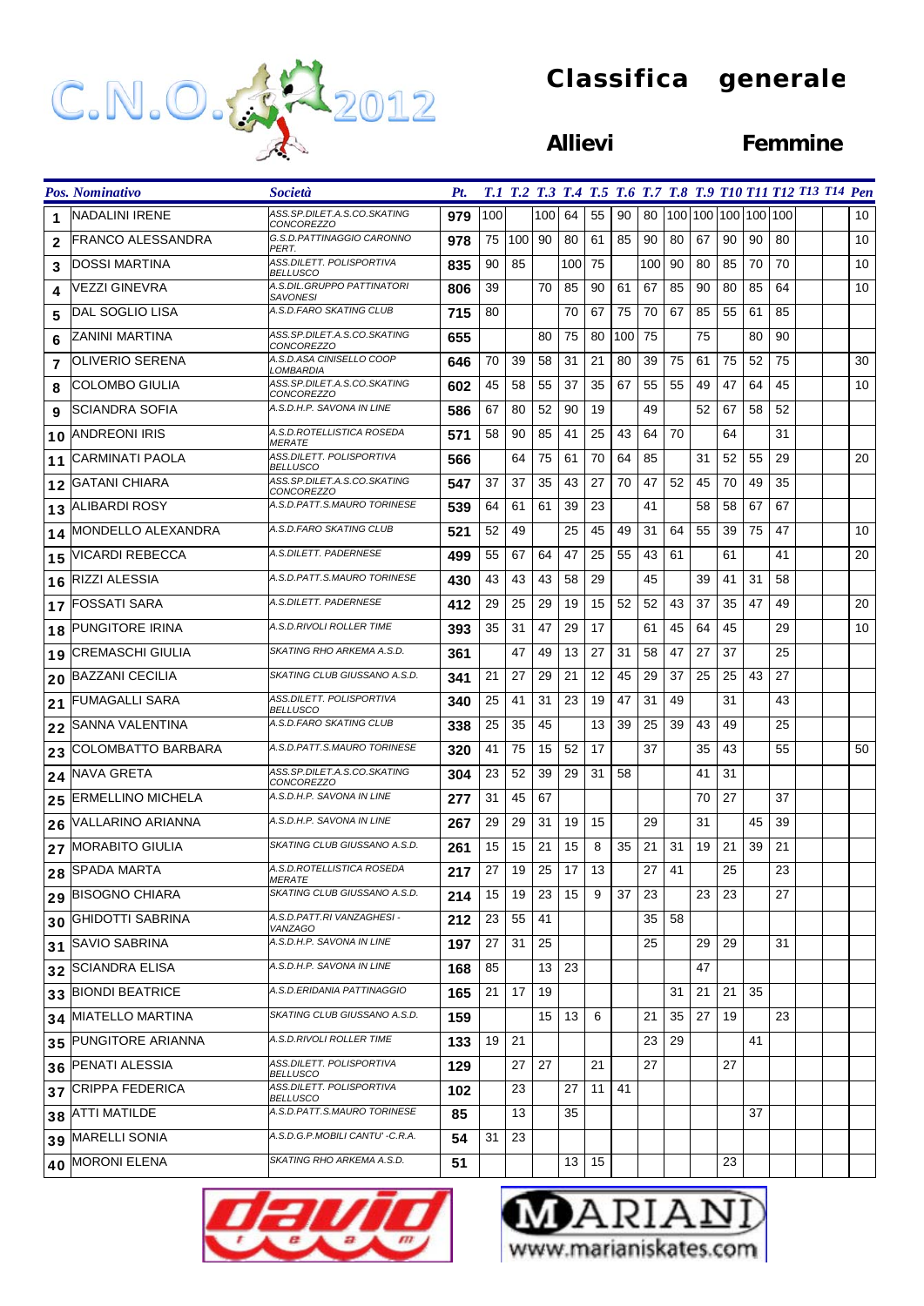

## **Classifica generale**

### **Allievi Femmine**

|                         | Pos. Nominativo          | <i>Società</i>                                   | Pt. |     |     |     |     |    |     |      |    |    |    |                     |    | T.1 T.2 T.3 T.4 T.5 T.6 T.7 T.8 T.9 T10 T11 T12 T13 T14 Pen |    |
|-------------------------|--------------------------|--------------------------------------------------|-----|-----|-----|-----|-----|----|-----|------|----|----|----|---------------------|----|-------------------------------------------------------------|----|
| 1                       | NADALINI IRENE           | ASS.SP.DILET.A.S.CO.SKATING<br>CONCOREZZO        | 979 | 100 |     | 100 | 64  | 55 | 90  | 80   |    |    |    | 100 100 100 100 100 |    |                                                             | 10 |
| $\overline{2}$          | IFRANCO ALESSANDRA       | G.S.D.PATTINAGGIO CARONNO<br>PERT.               | 978 | 75  | 100 | 90  | 80  | 61 | 85  | 90   | 80 | 67 | 90 | 90                  | 80 |                                                             | 10 |
| 3                       | DOSSI MARTINA            | ASS.DILETT. POLISPORTIVA<br><b>BELLUSCO</b>      | 835 | 90  | 85  |     | 100 | 75 |     | 100  | 90 | 80 | 85 | 70                  | 70 |                                                             | 10 |
| 4                       | VEZZI GINEVRA            | A.S.DIL.GRUPPO PATTINATORI<br>SAVONESI           | 806 | 39  |     | 70  | 85  | 90 | 61  | 67   | 85 | 90 | 80 | 85                  | 64 |                                                             | 10 |
| 5                       | DAL SOGLIO LISA          | A.S.D.FARO SKATING CLUB                          | 715 | 80  |     |     | 70  | 67 | 75  | 70   | 67 | 85 | 55 | 61                  | 85 |                                                             |    |
| 6                       | ZANINI MARTINA           | ASS.SP.DILET.A.S.CO.SKATING<br><i>CONCOREZZO</i> | 655 |     |     | 80  | 75  | 80 | 100 | 75   |    | 75 |    | 80                  | 90 |                                                             |    |
| $\overline{\mathbf{z}}$ | <b>OLIVERIO SERENA</b>   | A.S.D.ASA CINISELLO COOP<br>.OMBARDIA            | 646 | 70  | 39  | 58  | 31  | 21 | 80  | 39   | 75 | 61 | 75 | 52                  | 75 |                                                             | 30 |
| 8                       | COLOMBO GIULIA           | ASS.SP.DILET.A.S.CO.SKATING<br><i>CONCOREZZO</i> | 602 | 45  | 58  | 55  | 37  | 35 | 67  | 55   | 55 | 49 | 47 | 64                  | 45 |                                                             | 10 |
| 9                       | SCIANDRA SOFIA           | A.S.D.H.P. SAVONA IN LINE                        | 586 | 67  | 80  | 52  | 90  | 19 |     | 49   |    | 52 | 67 | 58                  | 52 |                                                             |    |
| 10                      | <b>ANDREONI IRIS</b>     | A.S.D.ROTELLISTICA ROSEDA<br><i>MERATE</i>       | 571 | 58  | 90  | 85  | 41  | 25 | 43  | 64   | 70 |    | 64 |                     | 31 |                                                             |    |
| 11                      | <b>CARMINATI PAOLA</b>   | ASS.DILETT. POLISPORTIVA<br>BELLUSCO             | 566 |     | 64  | 75  | 61  | 70 | 64  | 85   |    | 31 | 52 | 55                  | 29 |                                                             | 20 |
| 12                      | <b>GATANI CHIARA</b>     | ASS.SP.DILET.A.S.CO.SKATING<br>CONCOREZZO        | 547 | 37  | 37  | 35  | 43  | 27 | 70  | 47   | 52 | 45 | 70 | 49                  | 35 |                                                             |    |
| 13                      | ALIBARDI ROSY            | A.S.D.PATT.S.MAURO TORINESE                      | 539 | 64  | 61  | 61  | 39  | 23 |     | 41   |    | 58 | 58 | 67                  | 67 |                                                             |    |
| 14                      | MONDELLO ALEXANDRA       | A.S.D.FARO SKATING CLUB                          | 521 | 52  | 49  |     | 25  | 45 | 49  | 31   | 64 | 55 | 39 | 75                  | 47 |                                                             | 10 |
| 15                      | <b>VICARDI REBECCA</b>   | A.S.DILETT. PADERNESE                            | 499 | 55  | 67  | 64  | 47  | 25 | 55  | 43   | 61 |    | 61 |                     | 41 |                                                             | 20 |
| 16                      | RIZZI ALESSIA            | A.S.D.PATT.S.MAURO TORINESE                      | 430 | 43  | 43  | 43  | 58  | 29 |     | 45   |    | 39 | 41 | 31                  | 58 |                                                             |    |
| 17                      | <b>FOSSATI SARA</b>      | A.S.DILETT. PADERNESE                            | 412 | 29  | 25  | 29  | 19  | 15 | 52  | 52   | 43 | 37 | 35 | 47                  | 49 |                                                             | 20 |
| 18                      | PUNGITORE IRINA          | A.S.D.RIVOLI ROLLER TIME                         | 393 | 35  | 31  | 47  | 29  | 17 |     | 61   | 45 | 64 | 45 |                     | 29 |                                                             | 10 |
| 19                      | CREMASCHI GIULIA         | SKATING RHO ARKEMA A.S.D.                        | 361 |     | 47  | 49  | 13  | 27 | 31  | 58   | 47 | 27 | 37 |                     | 25 |                                                             |    |
| 20                      | <b>BAZZANI CECILIA</b>   | SKATING CLUB GIUSSANO A.S.D.                     | 341 | 21  | 27  | 29  | 21  | 12 | 45  | 29   | 37 | 25 | 25 | 43                  | 27 |                                                             |    |
| 21                      | FUMAGALLI SARA           | ASS.DILETT. POLISPORTIVA<br>BELLUSCO             | 340 | 25  | 41  | 31  | 23  | 19 | 47  | 31   | 49 |    | 31 |                     | 43 |                                                             |    |
| 22                      | SANNA VALENTINA          | A.S.D.FARO SKATING CLUB                          | 338 | 25  | 35  | 45  |     | 13 | 39  | 25   | 39 | 43 | 49 |                     | 25 |                                                             |    |
| 23                      | COLOMBATTO BARBARA       | A.S.D.PATT.S.MAURO TORINESE                      | 320 | 41  | 75  | 15  | 52  | 17 |     | 37   |    | 35 | 43 |                     | 55 |                                                             | 50 |
| 24                      | <b>NAVA GRETA</b>        | ASS.SP.DILET.A.S.CO.SKATING<br><i>CONCOREZZO</i> | 304 | 23  | 52  | 39  | 29  | 31 | 58  |      |    | 41 | 31 |                     |    |                                                             |    |
| 25                      | <b>ERMELLINO MICHELA</b> | A.S.D.H.P. SAVONA IN LINE                        | 277 | 31  | 45  | 67  |     |    |     |      |    | 70 | 27 |                     | 37 |                                                             |    |
| 26                      | VALLARINO ARIANNA        | A.S.D.H.P. SAVONA IN LINE                        | 267 | 29  | 29  | 31  | 19  | 15 |     | 29   |    | 31 |    | 45                  | 39 |                                                             |    |
| 27                      | MORABITO GIULIA          | SKATING CLUB GIUSSANO A.S.D.                     | 261 | 15  | 15  | 21  | 15  | 8  | 35  | 21   | 31 | 19 | 21 | 39                  | 21 |                                                             |    |
|                         | 28 SPADA MARTA           | A.S.D.ROTELLISTICA ROSEDA<br><i>MERATE</i>       | 217 | 27  | 19  | 25  | 17  | 13 |     | 27   | 41 |    | 25 |                     | 23 |                                                             |    |
|                         | 29 BISOGNO CHIARA        | SKATING CLUB GIUSSANO A.S.D.                     | 214 | 15  | 19  | 23  | 15  | 9  | 37  | 23   |    | 23 | 23 |                     | 27 |                                                             |    |
|                         | 30 GHIDOTTI SABRINA      | A.S.D.PATT.RI VANZAGHESI -<br>VANZAGO            | 212 | 23  | 55  | 41  |     |    |     | 35 I | 58 |    |    |                     |    |                                                             |    |
|                         | 31 SAVIO SABRINA         | A.S.D.H.P. SAVONA IN LINE                        | 197 | 27  | 31  | 25  |     |    |     | 25   |    | 29 | 29 |                     | 31 |                                                             |    |
|                         | 32 SCIANDRA ELISA        | A.S.D.H.P. SAVONA IN LINE                        | 168 | 85  |     | 13  | 23  |    |     |      |    | 47 |    |                     |    |                                                             |    |
|                         | 33 BIONDI BEATRICE       | A.S.D.ERIDANIA PATTINAGGIO                       | 165 | 21  | 17  | 19  |     |    |     |      | 31 | 21 | 21 | 35                  |    |                                                             |    |
|                         | 34 MIATELLO MARTINA      | SKATING CLUB GIUSSANO A.S.D.                     | 159 |     |     | 15  | 13  | 6  |     | 21   | 35 | 27 | 19 |                     | 23 |                                                             |    |
|                         | 35 PUNGITORE ARIANNA     | A.S.D.RIVOLI ROLLER TIME                         | 133 | 19  | 21  |     |     |    |     | 23   | 29 |    |    | 41                  |    |                                                             |    |
|                         | 36 PENATI ALESSIA        | ASS.DILETT. POLISPORTIVA<br>BELLUSCO             | 129 |     | 27  | 27  |     | 21 |     | 27   |    |    | 27 |                     |    |                                                             |    |
|                         | 37 CRIPPA FEDERICA       | ASS.DILETT. POLISPORTIVA<br>BELLUSCO             | 102 |     | 23  |     | 27  | 11 | 41  |      |    |    |    |                     |    |                                                             |    |
|                         | 38 ATTI MATILDE          | A.S.D.PATT.S.MAURO TORINESE                      | 85  |     | 13  |     | 35  |    |     |      |    |    |    | 37                  |    |                                                             |    |
|                         | 39 MARELLI SONIA         | A.S.D.G.P.MOBILI CANTU' -C.R.A.                  | 54  | 31  | 23  |     |     |    |     |      |    |    |    |                     |    |                                                             |    |
|                         | 40 MORONI ELENA          | SKATING RHO ARKEMA A.S.D.                        | 51  |     |     |     | 13  | 15 |     |      |    |    | 23 |                     |    |                                                             |    |